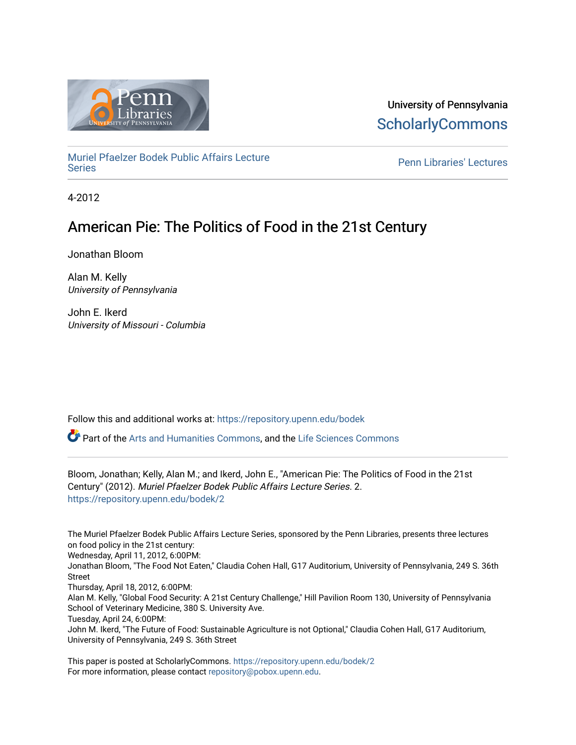

University of Pennsylvania **ScholarlyCommons** 

[Muriel Pfaelzer Bodek Public Affairs Lecture](https://repository.upenn.edu/bodek) 

**Penn Libraries' Lectures** 

4-2012

# American Pie: The Politics of Food in the 21st Century

Jonathan Bloom

Alan M. Kelly University of Pennsylvania

John E. Ikerd University of Missouri - Columbia

Follow this and additional works at: [https://repository.upenn.edu/bodek](https://repository.upenn.edu/bodek?utm_source=repository.upenn.edu%2Fbodek%2F2&utm_medium=PDF&utm_campaign=PDFCoverPages) 

Part of the [Arts and Humanities Commons,](http://network.bepress.com/hgg/discipline/438?utm_source=repository.upenn.edu%2Fbodek%2F2&utm_medium=PDF&utm_campaign=PDFCoverPages) and the [Life Sciences Commons](http://network.bepress.com/hgg/discipline/1016?utm_source=repository.upenn.edu%2Fbodek%2F2&utm_medium=PDF&utm_campaign=PDFCoverPages) 

Bloom, Jonathan; Kelly, Alan M.; and Ikerd, John E., "American Pie: The Politics of Food in the 21st Century" (2012). Muriel Pfaelzer Bodek Public Affairs Lecture Series. 2. [https://repository.upenn.edu/bodek/2](https://repository.upenn.edu/bodek/2?utm_source=repository.upenn.edu%2Fbodek%2F2&utm_medium=PDF&utm_campaign=PDFCoverPages) 

The Muriel Pfaelzer Bodek Public Affairs Lecture Series, sponsored by the Penn Libraries, presents three lectures on food policy in the 21st century: Wednesday, April 11, 2012, 6:00PM: Jonathan Bloom, "The Food Not Eaten," Claudia Cohen Hall, G17 Auditorium, University of Pennsylvania, 249 S. 36th Street Thursday, April 18, 2012, 6:00PM: Alan M. Kelly, "Global Food Security: A 21st Century Challenge," Hill Pavilion Room 130, University of Pennsylvania School of Veterinary Medicine, 380 S. University Ave. Tuesday, April 24, 6:00PM: John M. Ikerd, "The Future of Food: Sustainable Agriculture is not Optional," Claudia Cohen Hall, G17 Auditorium, University of Pennsylvania, 249 S. 36th Street

This paper is posted at ScholarlyCommons.<https://repository.upenn.edu/bodek/2> For more information, please contact [repository@pobox.upenn.edu.](mailto:repository@pobox.upenn.edu)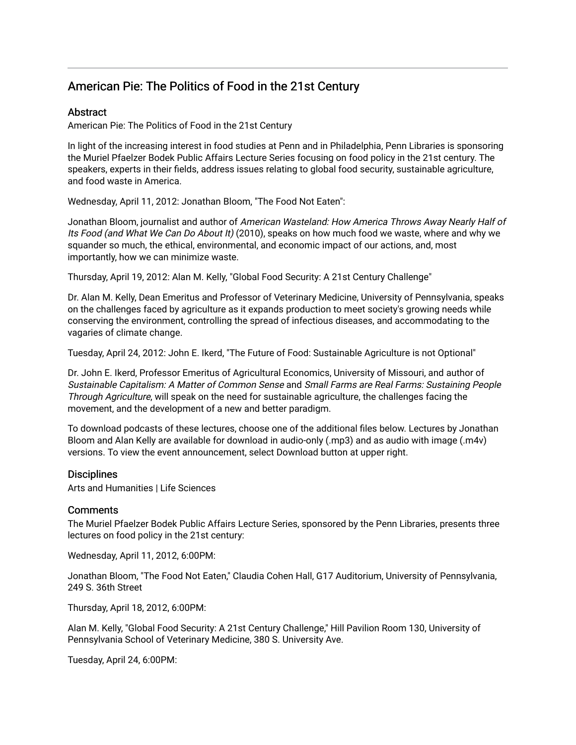# American Pie: The Politics of Food in the 21st Century

### **Abstract**

American Pie: The Politics of Food in the 21st Century

In light of the increasing interest in food studies at Penn and in Philadelphia, Penn Libraries is sponsoring the Muriel Pfaelzer Bodek Public Affairs Lecture Series focusing on food policy in the 21st century. The speakers, experts in their fields, address issues relating to global food security, sustainable agriculture, and food waste in America.

Wednesday, April 11, 2012: Jonathan Bloom, "The Food Not Eaten":

Jonathan Bloom, journalist and author of American Wasteland: How America Throws Away Nearly Half of Its Food (and What We Can Do About It) (2010), speaks on how much food we waste, where and why we squander so much, the ethical, environmental, and economic impact of our actions, and, most importantly, how we can minimize waste.

Thursday, April 19, 2012: Alan M. Kelly, "Global Food Security: A 21st Century Challenge"

Dr. Alan M. Kelly, Dean Emeritus and Professor of Veterinary Medicine, University of Pennsylvania, speaks on the challenges faced by agriculture as it expands production to meet society's growing needs while conserving the environment, controlling the spread of infectious diseases, and accommodating to the vagaries of climate change.

Tuesday, April 24, 2012: John E. Ikerd, "The Future of Food: Sustainable Agriculture is not Optional"

Dr. John E. Ikerd, Professor Emeritus of Agricultural Economics, University of Missouri, and author of Sustainable Capitalism: A Matter of Common Sense and Small Farms are Real Farms: Sustaining People Through Agriculture, will speak on the need for sustainable agriculture, the challenges facing the movement, and the development of a new and better paradigm.

To download podcasts of these lectures, choose one of the additional files below. Lectures by Jonathan Bloom and Alan Kelly are available for download in audio-only (.mp3) and as audio with image (.m4v) versions. To view the event announcement, select Download button at upper right.

#### **Disciplines**

Arts and Humanities | Life Sciences

#### **Comments**

The Muriel Pfaelzer Bodek Public Affairs Lecture Series, sponsored by the Penn Libraries, presents three lectures on food policy in the 21st century:

Wednesday, April 11, 2012, 6:00PM:

Jonathan Bloom, "The Food Not Eaten," Claudia Cohen Hall, G17 Auditorium, University of Pennsylvania, 249 S. 36th Street

Thursday, April 18, 2012, 6:00PM:

Alan M. Kelly, "Global Food Security: A 21st Century Challenge," Hill Pavilion Room 130, University of Pennsylvania School of Veterinary Medicine, 380 S. University Ave.

Tuesday, April 24, 6:00PM: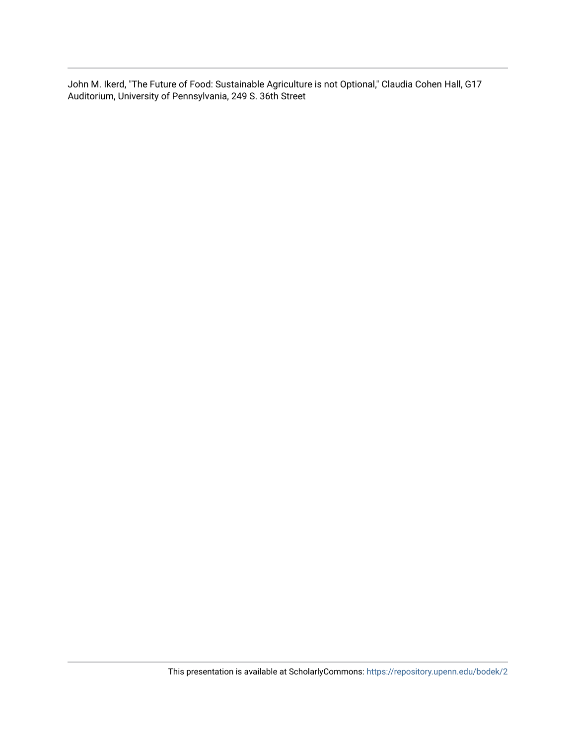John M. Ikerd, "The Future of Food: Sustainable Agriculture is not Optional," Claudia Cohen Hall, G17 Auditorium, University of Pennsylvania, 249 S. 36th Street